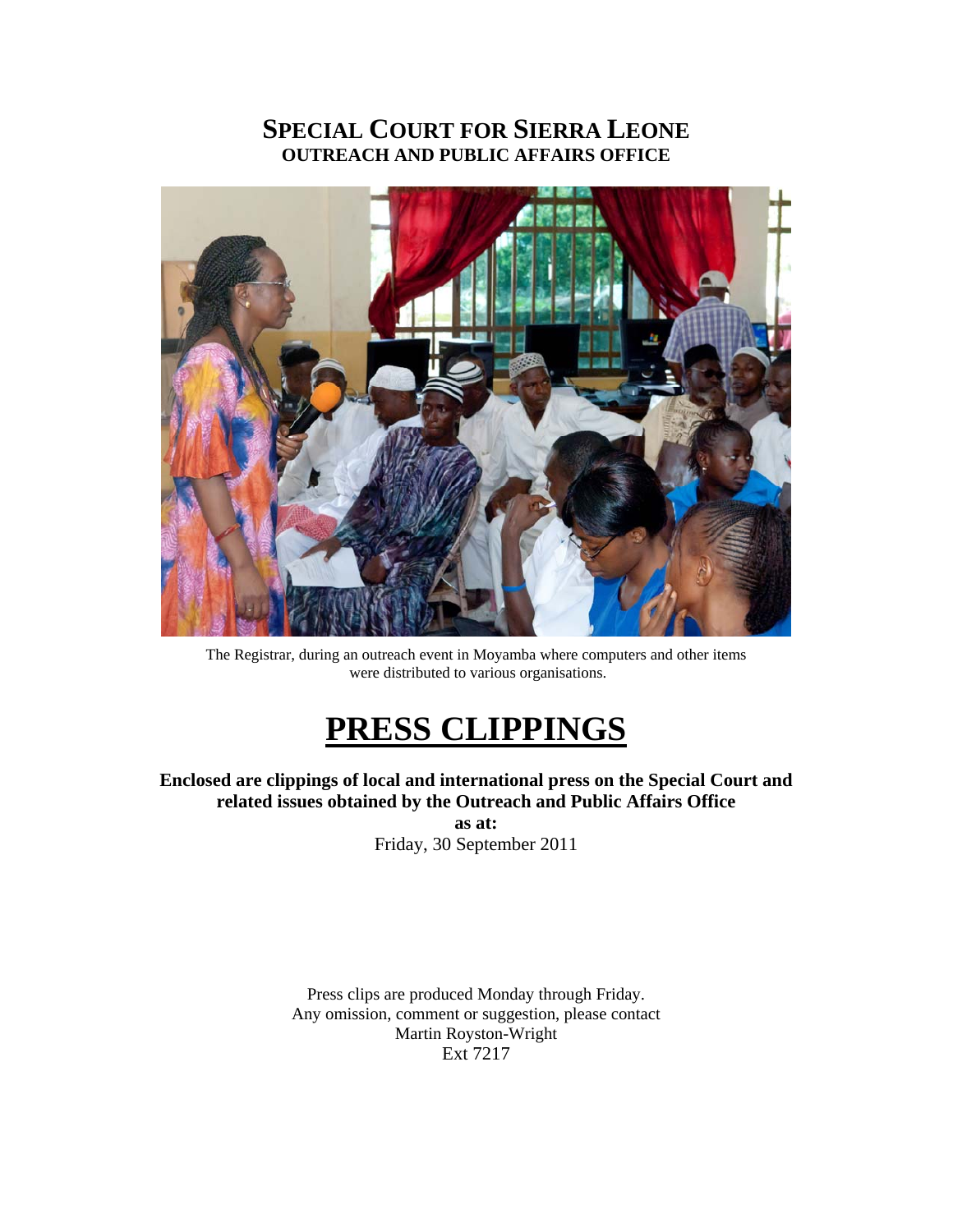## **SPECIAL COURT FOR SIERRA LEONE OUTREACH AND PUBLIC AFFAIRS OFFICE**



The Registrar, during an outreach event in Moyamba where computers and other items were distributed to various organisations.

# **PRESS CLIPPINGS**

**Enclosed are clippings of local and international press on the Special Court and related issues obtained by the Outreach and Public Affairs Office** 

**as at:**  Friday, 30 September 2011

Press clips are produced Monday through Friday. Any omission, comment or suggestion, please contact Martin Royston-Wright Ext 7217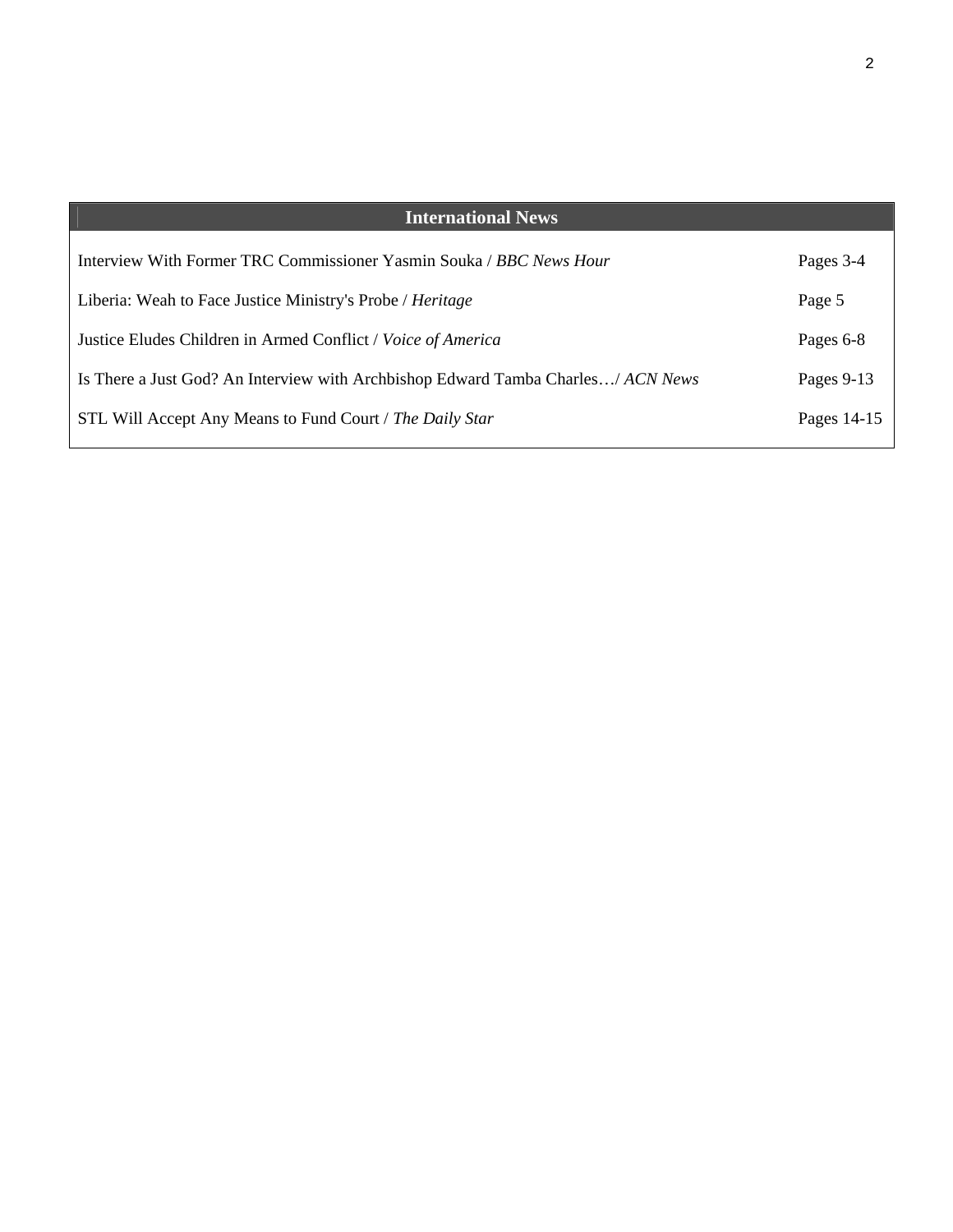| <b>International News</b>                                                       |             |
|---------------------------------------------------------------------------------|-------------|
| Interview With Former TRC Commissioner Yasmin Souka / BBC News Hour             | Pages 3-4   |
| Liberia: Weah to Face Justice Ministry's Probe / Heritage                       | Page 5      |
| Justice Eludes Children in Armed Conflict / Voice of America                    | Pages 6-8   |
| Is There a Just God? An Interview with Archbishop Edward Tamba Charles/ACN News | Pages 9-13  |
| STL Will Accept Any Means to Fund Court / The Daily Star                        | Pages 14-15 |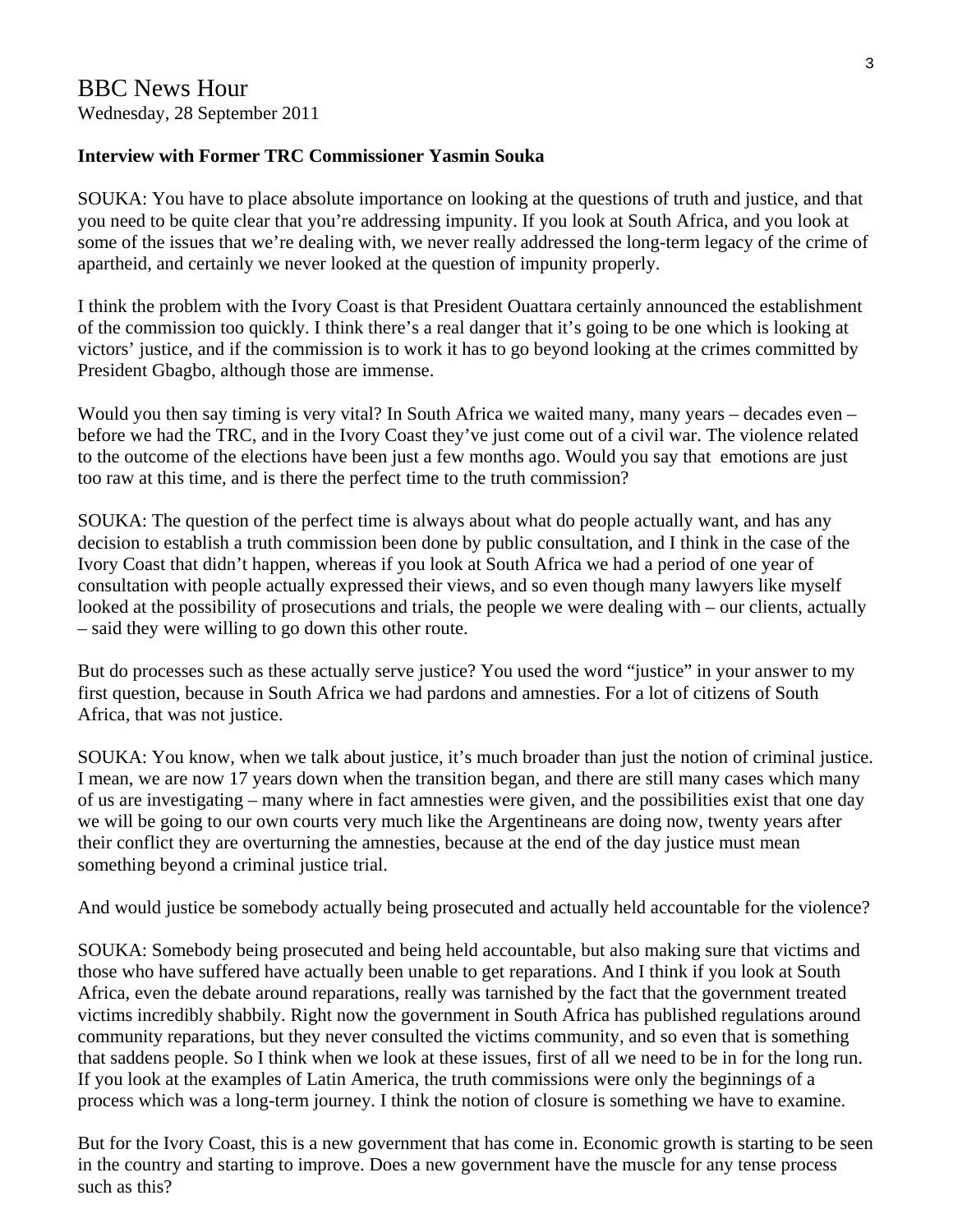#### **Interview with Former TRC Commissioner Yasmin Souka**

SOUKA: You have to place absolute importance on looking at the questions of truth and justice, and that you need to be quite clear that you're addressing impunity. If you look at South Africa, and you look at some of the issues that we're dealing with, we never really addressed the long-term legacy of the crime of apartheid, and certainly we never looked at the question of impunity properly.

I think the problem with the Ivory Coast is that President Ouattara certainly announced the establishment of the commission too quickly. I think there's a real danger that it's going to be one which is looking at victors' justice, and if the commission is to work it has to go beyond looking at the crimes committed by President Gbagbo, although those are immense.

Would you then say timing is very vital? In South Africa we waited many, many years – decades even – before we had the TRC, and in the Ivory Coast they've just come out of a civil war. The violence related to the outcome of the elections have been just a few months ago. Would you say that emotions are just too raw at this time, and is there the perfect time to the truth commission?

SOUKA: The question of the perfect time is always about what do people actually want, and has any decision to establish a truth commission been done by public consultation, and I think in the case of the Ivory Coast that didn't happen, whereas if you look at South Africa we had a period of one year of consultation with people actually expressed their views, and so even though many lawyers like myself looked at the possibility of prosecutions and trials, the people we were dealing with – our clients, actually – said they were willing to go down this other route.

But do processes such as these actually serve justice? You used the word "justice" in your answer to my first question, because in South Africa we had pardons and amnesties. For a lot of citizens of South Africa, that was not justice.

SOUKA: You know, when we talk about justice, it's much broader than just the notion of criminal justice. I mean, we are now 17 years down when the transition began, and there are still many cases which many of us are investigating – many where in fact amnesties were given, and the possibilities exist that one day we will be going to our own courts very much like the Argentineans are doing now, twenty years after their conflict they are overturning the amnesties, because at the end of the day justice must mean something beyond a criminal justice trial.

And would justice be somebody actually being prosecuted and actually held accountable for the violence?

SOUKA: Somebody being prosecuted and being held accountable, but also making sure that victims and those who have suffered have actually been unable to get reparations. And I think if you look at South Africa, even the debate around reparations, really was tarnished by the fact that the government treated victims incredibly shabbily. Right now the government in South Africa has published regulations around community reparations, but they never consulted the victims community, and so even that is something that saddens people. So I think when we look at these issues, first of all we need to be in for the long run. If you look at the examples of Latin America, the truth commissions were only the beginnings of a process which was a long-term journey. I think the notion of closure is something we have to examine.

But for the Ivory Coast, this is a new government that has come in. Economic growth is starting to be seen in the country and starting to improve. Does a new government have the muscle for any tense process such as this?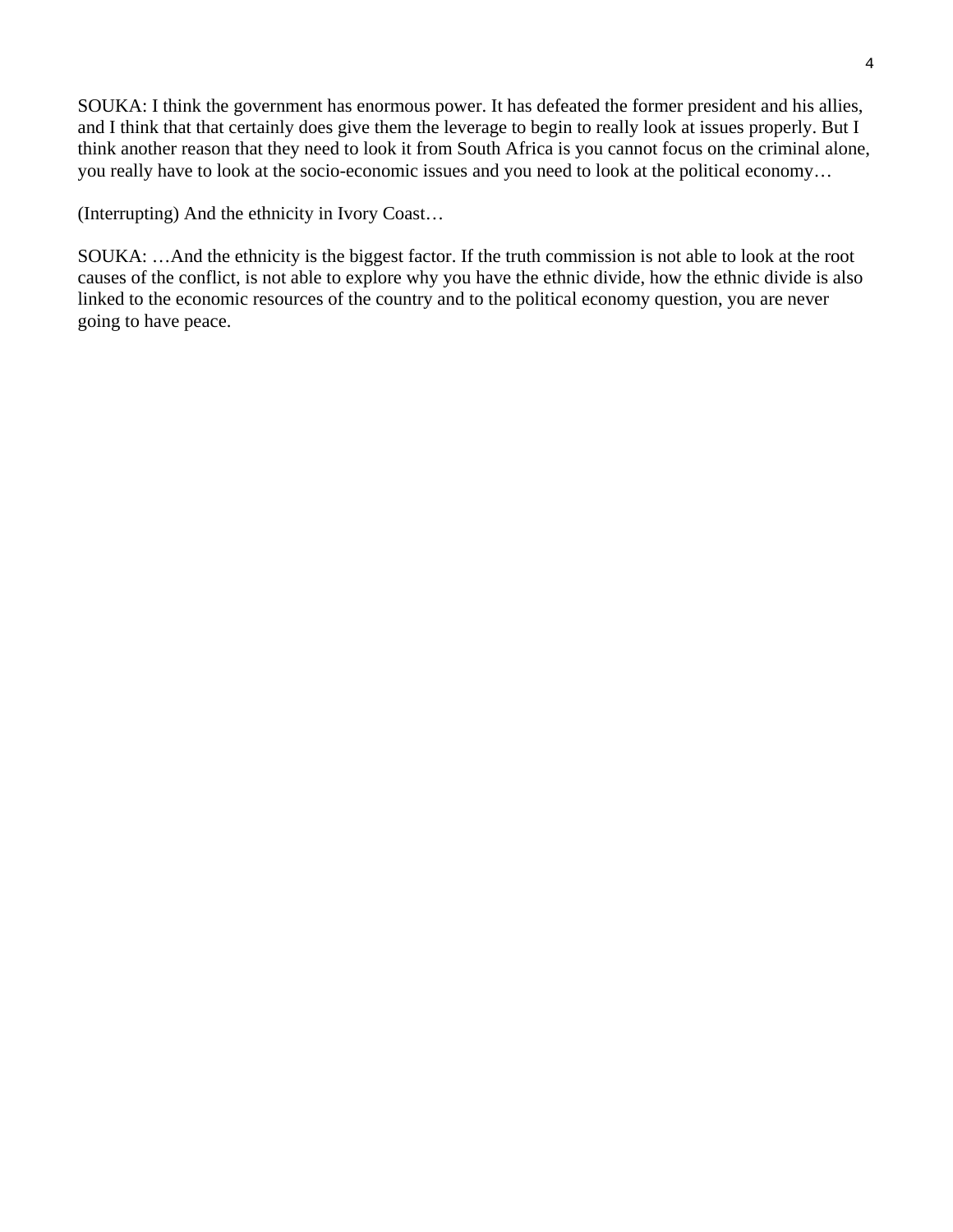SOUKA: I think the government has enormous power. It has defeated the former president and his allies, and I think that that certainly does give them the leverage to begin to really look at issues properly. But I think another reason that they need to look it from South Africa is you cannot focus on the criminal alone, you really have to look at the socio-economic issues and you need to look at the political economy…

(Interrupting) And the ethnicity in Ivory Coast…

SOUKA: …And the ethnicity is the biggest factor. If the truth commission is not able to look at the root causes of the conflict, is not able to explore why you have the ethnic divide, how the ethnic divide is also linked to the economic resources of the country and to the political economy question, you are never going to have peace.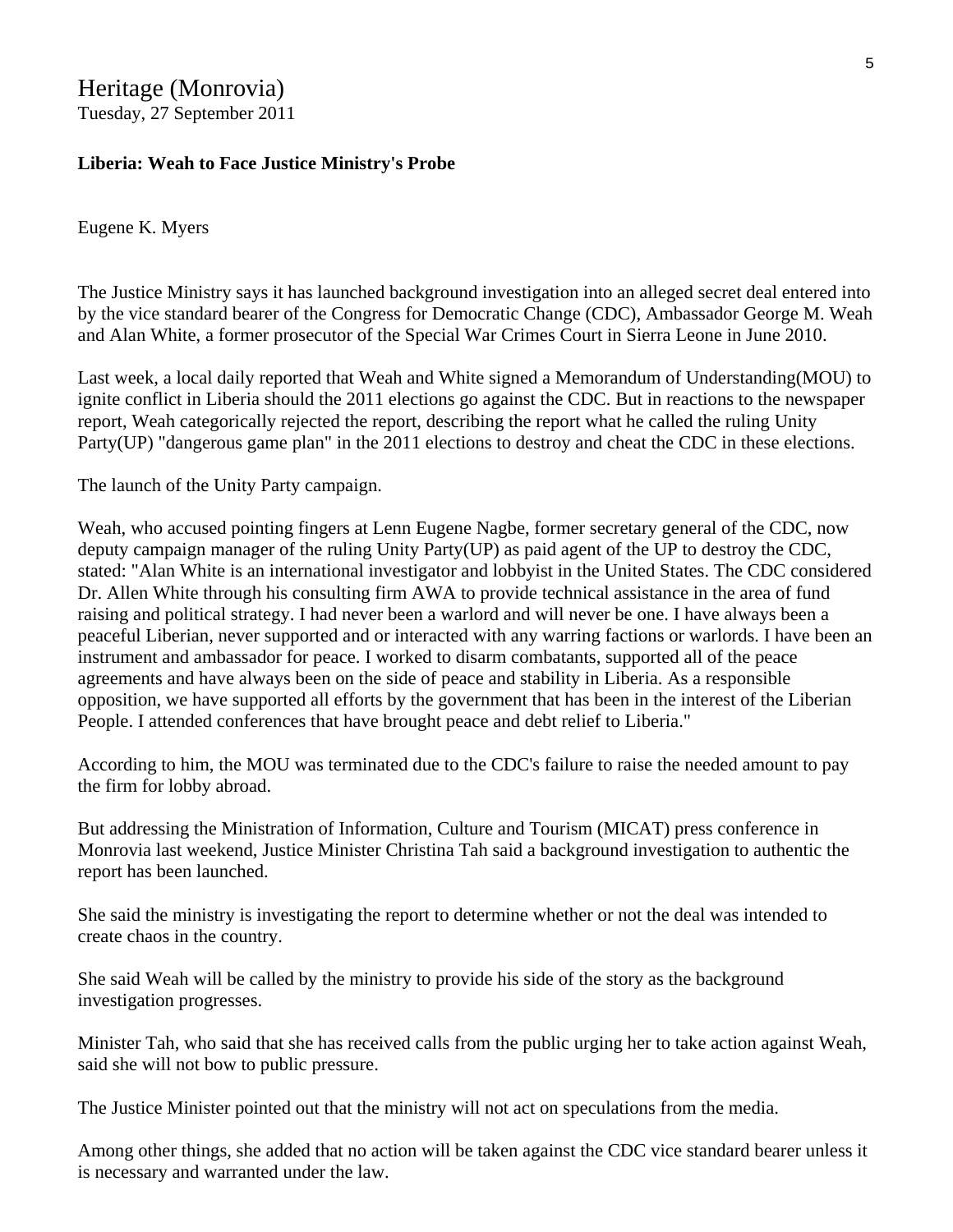#### Heritage (Monrovia) Tuesday, 27 September 2011

#### **Liberia: Weah to Face Justice Ministry's Probe**

#### Eugene K. Myers

The Justice Ministry says it has launched background investigation into an alleged secret deal entered into by the vice standard bearer of the Congress for Democratic Change (CDC), Ambassador George M. Weah and Alan White, a former prosecutor of the Special War Crimes Court in Sierra Leone in June 2010.

Last week, a local daily reported that Weah and White signed a Memorandum of Understanding(MOU) to ignite conflict in Liberia should the 2011 elections go against the CDC. But in reactions to the newspaper report, Weah categorically rejected the report, describing the report what he called the ruling Unity Party(UP) "dangerous game plan" in the 2011 elections to destroy and cheat the CDC in these elections.

The launch of the Unity Party campaign.

Weah, who accused pointing fingers at Lenn Eugene Nagbe, former secretary general of the CDC, now deputy campaign manager of the ruling Unity Party(UP) as paid agent of the UP to destroy the CDC, stated: "Alan White is an international investigator and lobbyist in the United States. The CDC considered Dr. Allen White through his consulting firm AWA to provide technical assistance in the area of fund raising and political strategy. I had never been a warlord and will never be one. I have always been a peaceful Liberian, never supported and or interacted with any warring factions or warlords. I have been an instrument and ambassador for peace. I worked to disarm combatants, supported all of the peace agreements and have always been on the side of peace and stability in Liberia. As a responsible opposition, we have supported all efforts by the government that has been in the interest of the Liberian People. I attended conferences that have brought peace and debt relief to Liberia."

According to him, the MOU was terminated due to the CDC's failure to raise the needed amount to pay the firm for lobby abroad.

But addressing the Ministration of Information, Culture and Tourism (MICAT) press conference in Monrovia last weekend, Justice Minister Christina Tah said a background investigation to authentic the report has been launched.

She said the ministry is investigating the report to determine whether or not the deal was intended to create chaos in the country.

She said Weah will be called by the ministry to provide his side of the story as the background investigation progresses.

Minister Tah, who said that she has received calls from the public urging her to take action against Weah, said she will not bow to public pressure.

The Justice Minister pointed out that the ministry will not act on speculations from the media.

Among other things, she added that no action will be taken against the CDC vice standard bearer unless it is necessary and warranted under the law.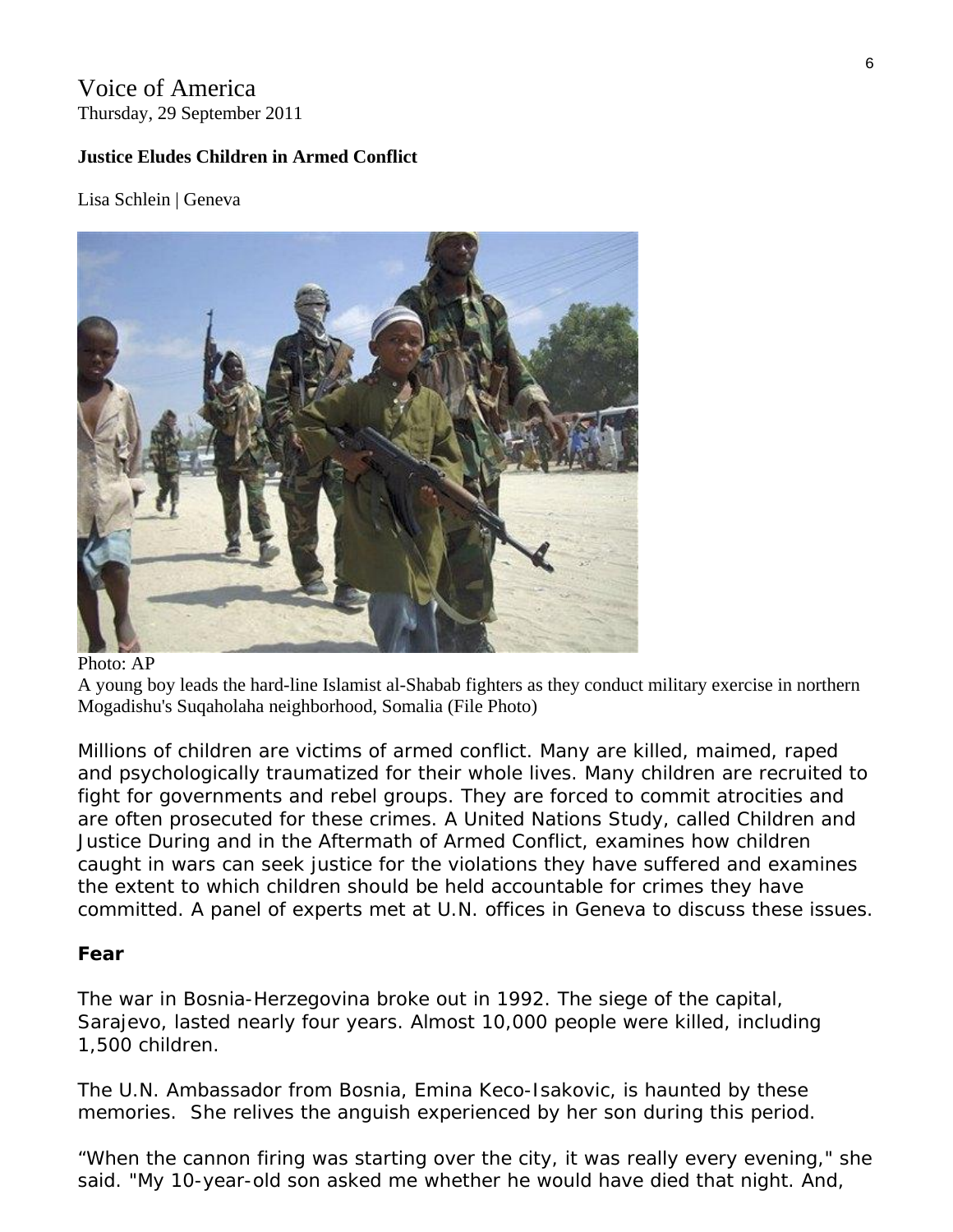## Voice of America Thursday, 29 September 2011

## **Justice Eludes Children in Armed Conflict**

Lisa Schlein | Geneva



#### Photo: AP

A young boy leads the hard-line Islamist al-Shabab fighters as they conduct military exercise in northern Mogadishu's Suqaholaha neighborhood, Somalia (File Photo)

Millions of children are victims of armed conflict. Many are killed, maimed, raped and psychologically traumatized for their whole lives. Many children are recruited to fight for governments and rebel groups. They are forced to commit atrocities and are often prosecuted for these crimes. A United Nations Study, called *Children and Justice During and in the Aftermath of Armed Conflict*, examines how children caught in wars can seek justice for the violations they have suffered and examines the extent to which children should be held accountable for crimes they have committed. A panel of experts met at U.N. offices in Geneva to discuss these issues.

## **Fear**

The war in Bosnia-Herzegovina broke out in 1992. The siege of the capital, Sarajevo, lasted nearly four years. Almost 10,000 people were killed, including 1,500 children.

The U.N. Ambassador from Bosnia, Emina Keco-Isakovic, is haunted by these memories. She relives the anguish experienced by her son during this period.

"When the cannon firing was starting over the city, it was really every evening," she said. "My 10-year-old son asked me whether he would have died that night. And,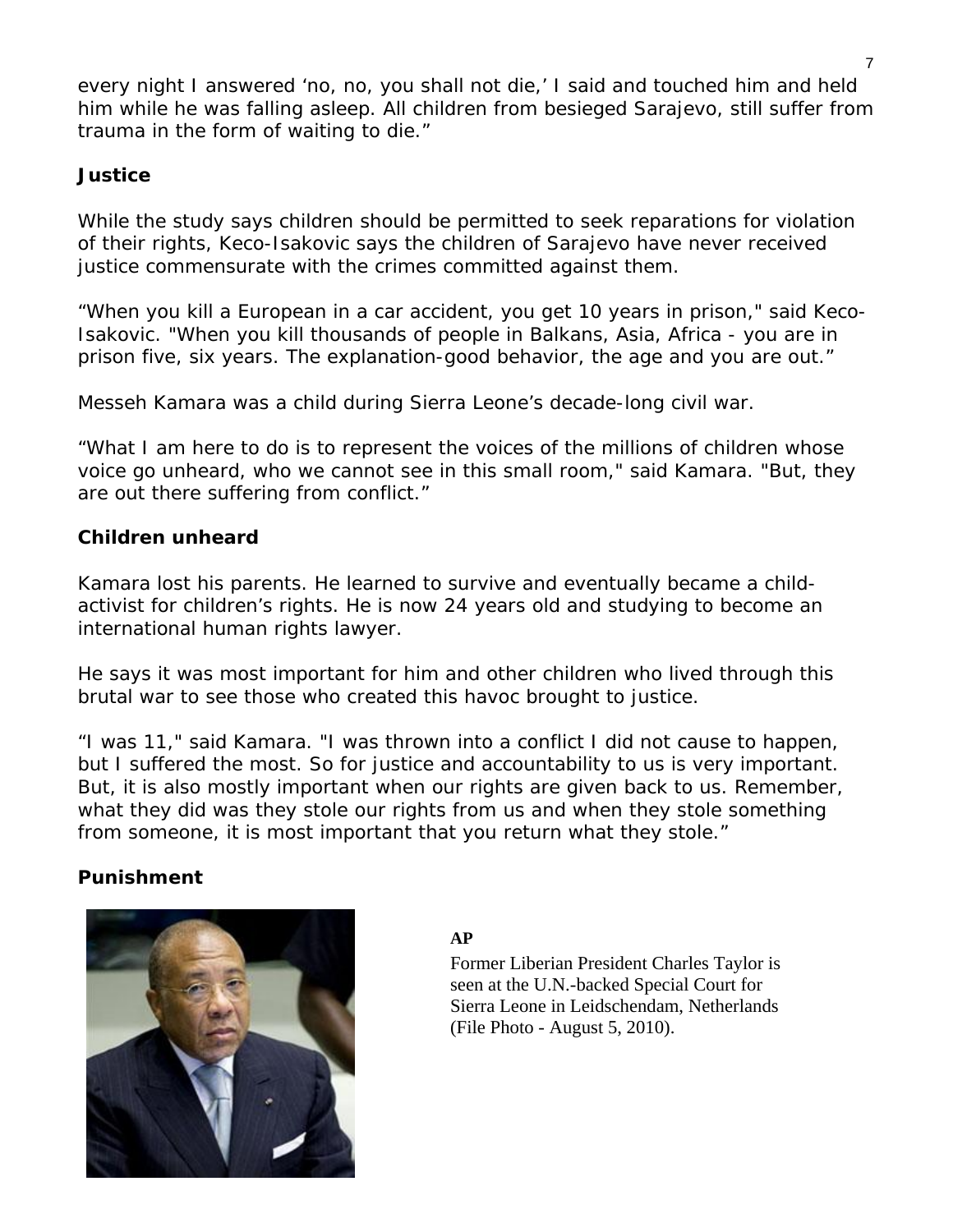every night I answered 'no, no, you shall not die,' I said and touched him and held him while he was falling asleep. All children from besieged Sarajevo, still suffer from trauma in the form of waiting to die."

## **Justice**

While the study says children should be permitted to seek reparations for violation of their rights, Keco-Isakovic says the children of Sarajevo have never received justice commensurate with the crimes committed against them.

"When you kill a European in a car accident, you get 10 years in prison," said Keco-Isakovic. "When you kill thousands of people in Balkans, Asia, Africa - you are in prison five, six years. The explanation-good behavior, the age and you are out."

Messeh Kamara was a child during Sierra Leone's decade-long civil war.

"What I am here to do is to represent the voices of the millions of children whose voice go unheard, who we cannot see in this small room," said Kamara. "But, they are out there suffering from conflict."

## **Children unheard**

Kamara lost his parents. He learned to survive and eventually became a childactivist for children's rights. He is now 24 years old and studying to become an international human rights lawyer.

He says it was most important for him and other children who lived through this brutal war to see those who created this havoc brought to justice.

"I was 11," said Kamara. "I was thrown into a conflict I did not cause to happen, but I suffered the most. So for justice and accountability to us is very important. But, it is also mostly important when our rights are given back to us. Remember, what they did was they stole our rights from us and when they stole something from someone, it is most important that you return what they stole."

## **Punishment**



#### **AP**

Former Liberian President Charles Taylor is seen at the U.N.-backed Special Court for Sierra Leone in Leidschendam, Netherlands (File Photo - August 5, 2010).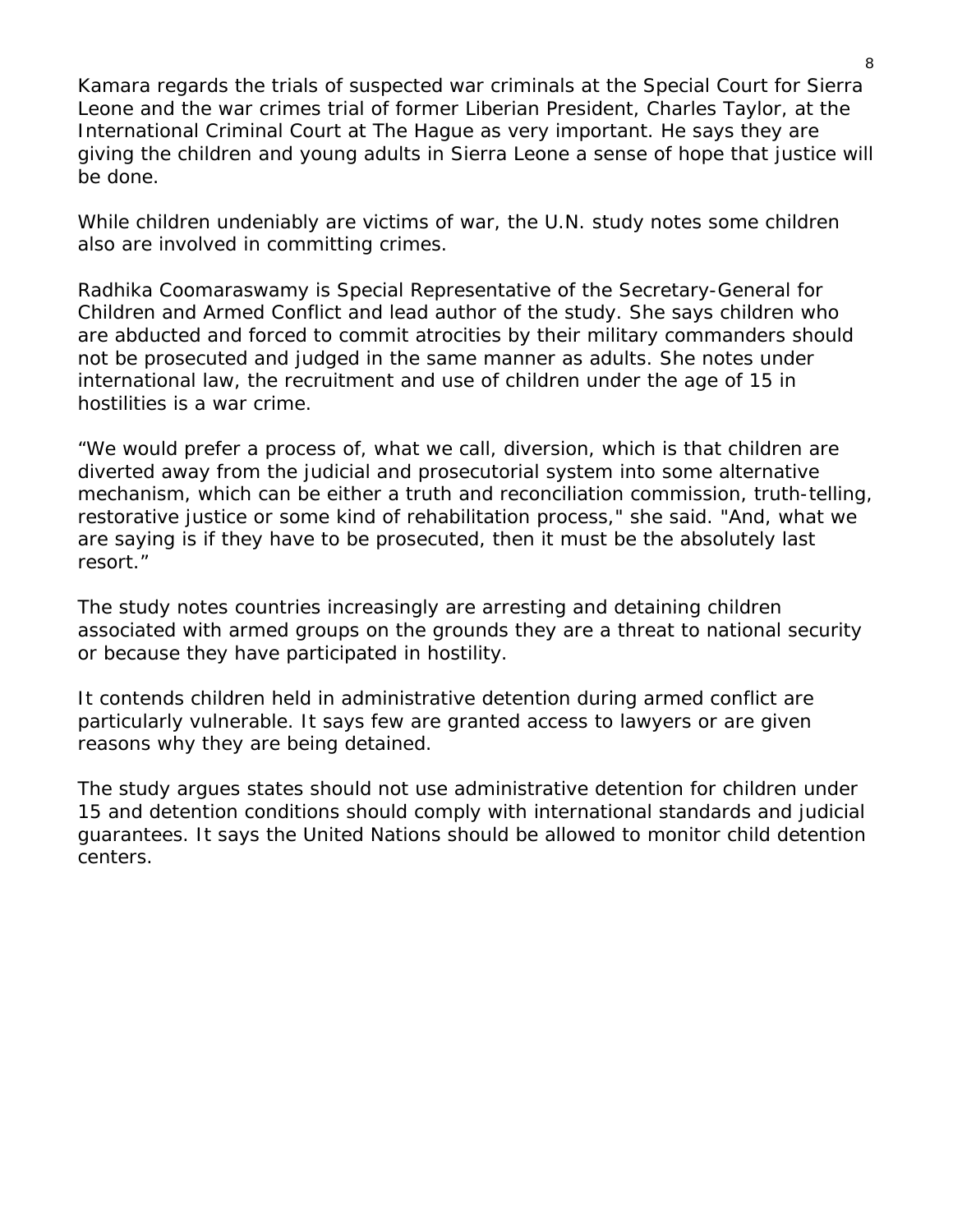Kamara regards the trials of suspected war criminals at the Special Court for Sierra Leone and the war crimes trial of former Liberian President, Charles Taylor, at the International Criminal Court at The Hague as very important. He says they are giving the children and young adults in Sierra Leone a sense of hope that justice will be done.

While children undeniably are victims of war, the U.N. study notes some children also are involved in committing crimes.

Radhika Coomaraswamy is Special Representative of the Secretary-General for Children and Armed Conflict and lead author of the study. She says children who are abducted and forced to commit atrocities by their military commanders should not be prosecuted and judged in the same manner as adults. She notes under international law, the recruitment and use of children under the age of 15 in hostilities is a war crime.

"We would prefer a process of, what we call, diversion, which is that children are diverted away from the judicial and prosecutorial system into some alternative mechanism, which can be either a truth and reconciliation commission, truth-telling, restorative justice or some kind of rehabilitation process," she said. "And, what we are saying is if they have to be prosecuted, then it must be the absolutely last resort."

The study notes countries increasingly are arresting and detaining children associated with armed groups on the grounds they are a threat to national security or because they have participated in hostility.

It contends children held in administrative detention during armed conflict are particularly vulnerable. It says few are granted access to lawyers or are given reasons why they are being detained.

The study argues states should not use administrative detention for children under 15 and detention conditions should comply with international standards and judicial guarantees. It says the United Nations should be allowed to monitor child detention centers.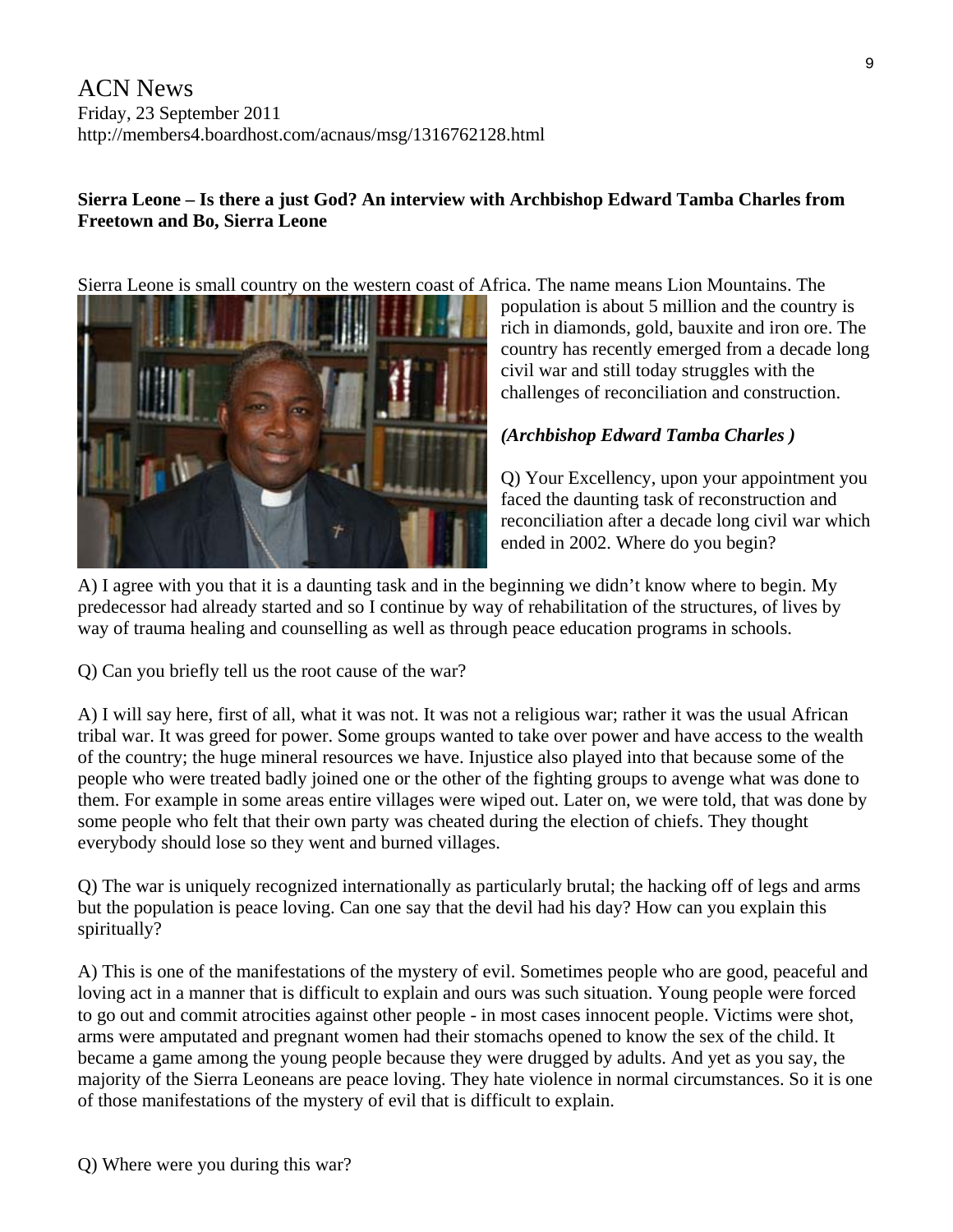## **Sierra Leone – Is there a just God? An interview with Archbishop Edward Tamba Charles from Freetown and Bo, Sierra Leone**

Sierra Leone is small country on the western coast of Africa. The name means Lion Mountains. The



population is about 5 million and the country is rich in diamonds, gold, bauxite and iron ore. The country has recently emerged from a decade long civil war and still today struggles with the challenges of reconciliation and construction.

## *(Archbishop Edward Tamba Charles )*

Q) Your Excellency, upon your appointment you faced the daunting task of reconstruction and reconciliation after a decade long civil war which ended in 2002. Where do you begin?

A) I agree with you that it is a daunting task and in the beginning we didn't know where to begin. My predecessor had already started and so I continue by way of rehabilitation of the structures, of lives by way of trauma healing and counselling as well as through peace education programs in schools.

Q) Can you briefly tell us the root cause of the war?

A) I will say here, first of all, what it was not. It was not a religious war; rather it was the usual African tribal war. It was greed for power. Some groups wanted to take over power and have access to the wealth of the country; the huge mineral resources we have. Injustice also played into that because some of the people who were treated badly joined one or the other of the fighting groups to avenge what was done to them. For example in some areas entire villages were wiped out. Later on, we were told, that was done by some people who felt that their own party was cheated during the election of chiefs. They thought everybody should lose so they went and burned villages.

Q) The war is uniquely recognized internationally as particularly brutal; the hacking off of legs and arms but the population is peace loving. Can one say that the devil had his day? How can you explain this spiritually?

A) This is one of the manifestations of the mystery of evil. Sometimes people who are good, peaceful and loving act in a manner that is difficult to explain and ours was such situation. Young people were forced to go out and commit atrocities against other people - in most cases innocent people. Victims were shot, arms were amputated and pregnant women had their stomachs opened to know the sex of the child. It became a game among the young people because they were drugged by adults. And yet as you say, the majority of the Sierra Leoneans are peace loving. They hate violence in normal circumstances. So it is one of those manifestations of the mystery of evil that is difficult to explain.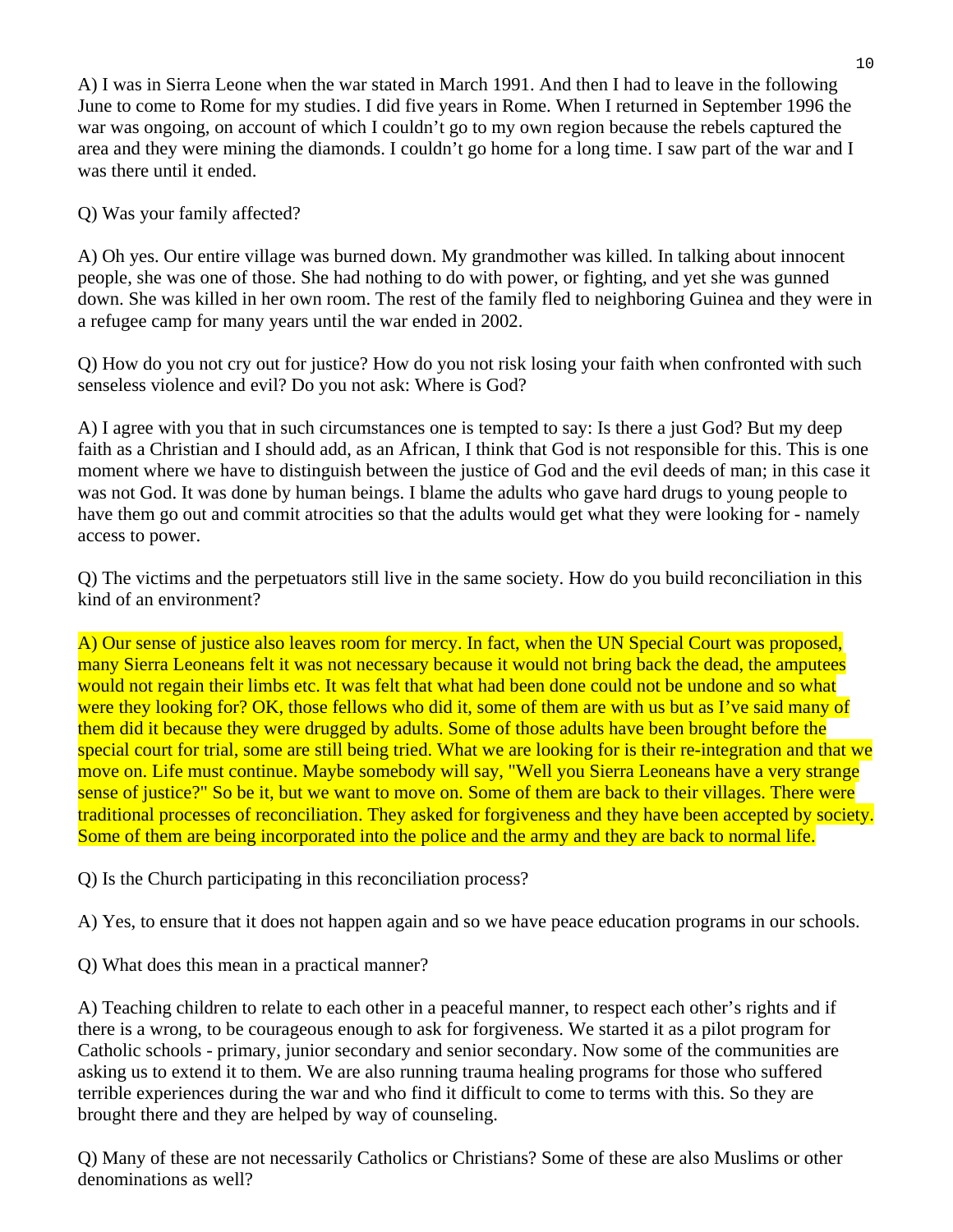A) I was in Sierra Leone when the war stated in March 1991. And then I had to leave in the following June to come to Rome for my studies. I did five years in Rome. When I returned in September 1996 the war was ongoing, on account of which I couldn't go to my own region because the rebels captured the area and they were mining the diamonds. I couldn't go home for a long time. I saw part of the war and I was there until it ended.

Q) Was your family affected?

A) Oh yes. Our entire village was burned down. My grandmother was killed. In talking about innocent people, she was one of those. She had nothing to do with power, or fighting, and yet she was gunned down. She was killed in her own room. The rest of the family fled to neighboring Guinea and they were in a refugee camp for many years until the war ended in 2002.

Q) How do you not cry out for justice? How do you not risk losing your faith when confronted with such senseless violence and evil? Do you not ask: Where is God?

A) I agree with you that in such circumstances one is tempted to say: Is there a just God? But my deep faith as a Christian and I should add, as an African, I think that God is not responsible for this. This is one moment where we have to distinguish between the justice of God and the evil deeds of man; in this case it was not God. It was done by human beings. I blame the adults who gave hard drugs to young people to have them go out and commit atrocities so that the adults would get what they were looking for - namely access to power.

Q) The victims and the perpetuators still live in the same society. How do you build reconciliation in this kind of an environment?

A) Our sense of justice also leaves room for mercy. In fact, when the UN Special Court was proposed, many Sierra Leoneans felt it was not necessary because it would not bring back the dead, the amputees would not regain their limbs etc. It was felt that what had been done could not be undone and so what were they looking for? OK, those fellows who did it, some of them are with us but as I've said many of them did it because they were drugged by adults. Some of those adults have been brought before the special court for trial, some are still being tried. What we are looking for is their re-integration and that we move on. Life must continue. Maybe somebody will say, "Well you Sierra Leoneans have a very strange sense of justice?" So be it, but we want to move on. Some of them are back to their villages. There were traditional processes of reconciliation. They asked for forgiveness and they have been accepted by society. Some of them are being incorporated into the police and the army and they are back to normal life.

Q) Is the Church participating in this reconciliation process?

A) Yes, to ensure that it does not happen again and so we have peace education programs in our schools.

Q) What does this mean in a practical manner?

A) Teaching children to relate to each other in a peaceful manner, to respect each other's rights and if there is a wrong, to be courageous enough to ask for forgiveness. We started it as a pilot program for Catholic schools - primary, junior secondary and senior secondary. Now some of the communities are asking us to extend it to them. We are also running trauma healing programs for those who suffered terrible experiences during the war and who find it difficult to come to terms with this. So they are brought there and they are helped by way of counseling.

Q) Many of these are not necessarily Catholics or Christians? Some of these are also Muslims or other denominations as well?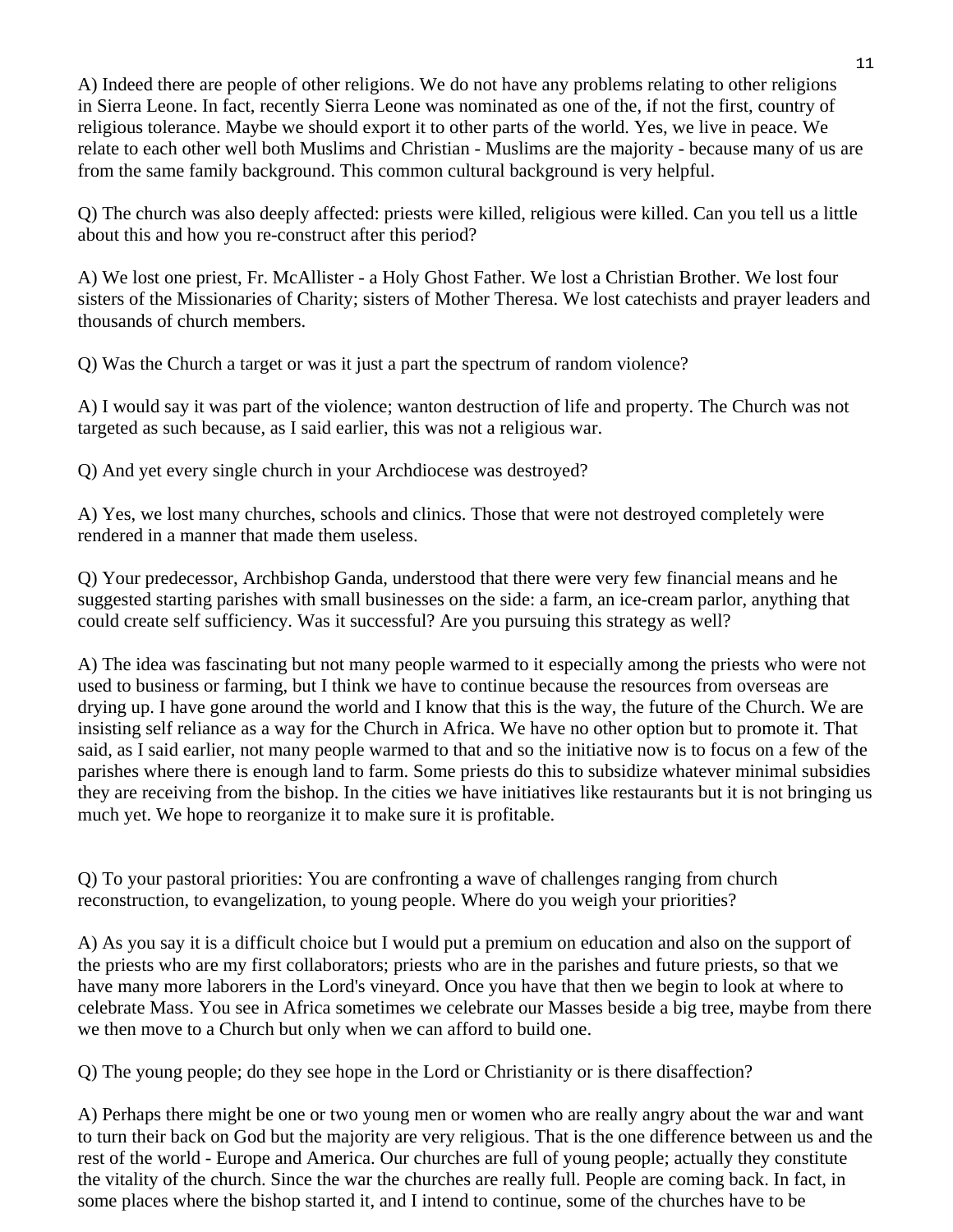A) Indeed there are people of other religions. We do not have any problems relating to other religions in Sierra Leone. In fact, recently Sierra Leone was nominated as one of the, if not the first, country of religious tolerance. Maybe we should export it to other parts of the world. Yes, we live in peace. We relate to each other well both Muslims and Christian - Muslims are the majority - because many of us are from the same family background. This common cultural background is very helpful.

Q) The church was also deeply affected: priests were killed, religious were killed. Can you tell us a little about this and how you re-construct after this period?

A) We lost one priest, Fr. McAllister - a Holy Ghost Father. We lost a Christian Brother. We lost four sisters of the Missionaries of Charity; sisters of Mother Theresa. We lost catechists and prayer leaders and thousands of church members.

Q) Was the Church a target or was it just a part the spectrum of random violence?

A) I would say it was part of the violence; wanton destruction of life and property. The Church was not targeted as such because, as I said earlier, this was not a religious war.

Q) And yet every single church in your Archdiocese was destroyed?

A) Yes, we lost many churches, schools and clinics. Those that were not destroyed completely were rendered in a manner that made them useless.

Q) Your predecessor, Archbishop Ganda, understood that there were very few financial means and he suggested starting parishes with small businesses on the side: a farm, an ice-cream parlor, anything that could create self sufficiency. Was it successful? Are you pursuing this strategy as well?

A) The idea was fascinating but not many people warmed to it especially among the priests who were not used to business or farming, but I think we have to continue because the resources from overseas are drying up. I have gone around the world and I know that this is the way, the future of the Church. We are insisting self reliance as a way for the Church in Africa. We have no other option but to promote it. That said, as I said earlier, not many people warmed to that and so the initiative now is to focus on a few of the parishes where there is enough land to farm. Some priests do this to subsidize whatever minimal subsidies they are receiving from the bishop. In the cities we have initiatives like restaurants but it is not bringing us much yet. We hope to reorganize it to make sure it is profitable.

Q) To your pastoral priorities: You are confronting a wave of challenges ranging from church reconstruction, to evangelization, to young people. Where do you weigh your priorities?

A) As you say it is a difficult choice but I would put a premium on education and also on the support of the priests who are my first collaborators; priests who are in the parishes and future priests, so that we have many more laborers in the Lord's vineyard. Once you have that then we begin to look at where to celebrate Mass. You see in Africa sometimes we celebrate our Masses beside a big tree, maybe from there we then move to a Church but only when we can afford to build one.

Q) The young people; do they see hope in the Lord or Christianity or is there disaffection?

A) Perhaps there might be one or two young men or women who are really angry about the war and want to turn their back on God but the majority are very religious. That is the one difference between us and the rest of the world - Europe and America. Our churches are full of young people; actually they constitute the vitality of the church. Since the war the churches are really full. People are coming back. In fact, in some places where the bishop started it, and I intend to continue, some of the churches have to be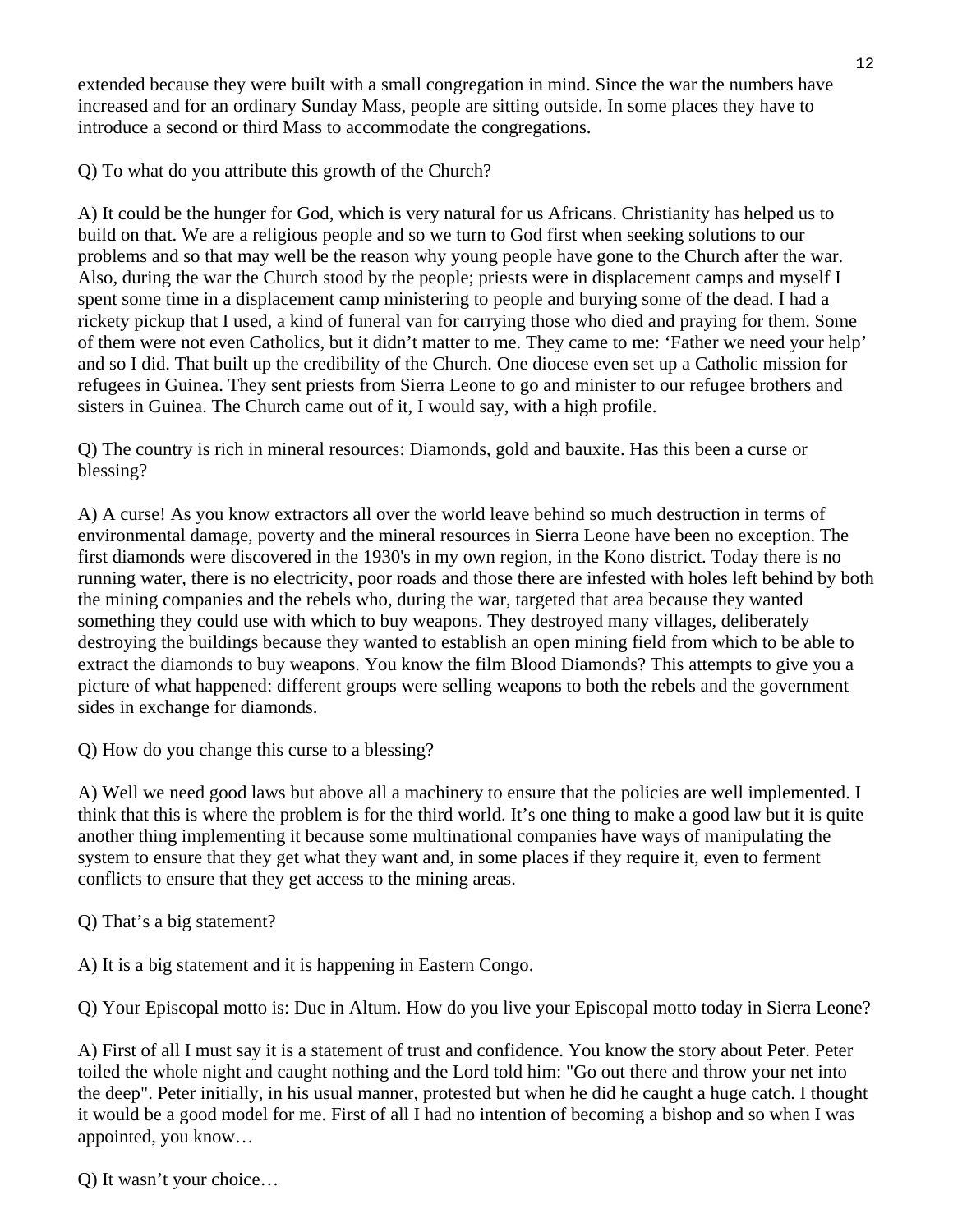extended because they were built with a small congregation in mind. Since the war the numbers have increased and for an ordinary Sunday Mass, people are sitting outside. In some places they have to introduce a second or third Mass to accommodate the congregations.

Q) To what do you attribute this growth of the Church?

A) It could be the hunger for God, which is very natural for us Africans. Christianity has helped us to build on that. We are a religious people and so we turn to God first when seeking solutions to our problems and so that may well be the reason why young people have gone to the Church after the war. Also, during the war the Church stood by the people; priests were in displacement camps and myself I spent some time in a displacement camp ministering to people and burying some of the dead. I had a rickety pickup that I used, a kind of funeral van for carrying those who died and praying for them. Some of them were not even Catholics, but it didn't matter to me. They came to me: 'Father we need your help' and so I did. That built up the credibility of the Church. One diocese even set up a Catholic mission for refugees in Guinea. They sent priests from Sierra Leone to go and minister to our refugee brothers and sisters in Guinea. The Church came out of it, I would say, with a high profile.

Q) The country is rich in mineral resources: Diamonds, gold and bauxite. Has this been a curse or blessing?

A) A curse! As you know extractors all over the world leave behind so much destruction in terms of environmental damage, poverty and the mineral resources in Sierra Leone have been no exception. The first diamonds were discovered in the 1930's in my own region, in the Kono district. Today there is no running water, there is no electricity, poor roads and those there are infested with holes left behind by both the mining companies and the rebels who, during the war, targeted that area because they wanted something they could use with which to buy weapons. They destroyed many villages, deliberately destroying the buildings because they wanted to establish an open mining field from which to be able to extract the diamonds to buy weapons. You know the film Blood Diamonds? This attempts to give you a picture of what happened: different groups were selling weapons to both the rebels and the government sides in exchange for diamonds.

Q) How do you change this curse to a blessing?

A) Well we need good laws but above all a machinery to ensure that the policies are well implemented. I think that this is where the problem is for the third world. It's one thing to make a good law but it is quite another thing implementing it because some multinational companies have ways of manipulating the system to ensure that they get what they want and, in some places if they require it, even to ferment conflicts to ensure that they get access to the mining areas.

Q) That's a big statement?

A) It is a big statement and it is happening in Eastern Congo.

Q) Your Episcopal motto is: Duc in Altum. How do you live your Episcopal motto today in Sierra Leone?

A) First of all I must say it is a statement of trust and confidence. You know the story about Peter. Peter toiled the whole night and caught nothing and the Lord told him: "Go out there and throw your net into the deep". Peter initially, in his usual manner, protested but when he did he caught a huge catch. I thought it would be a good model for me. First of all I had no intention of becoming a bishop and so when I was appointed, you know…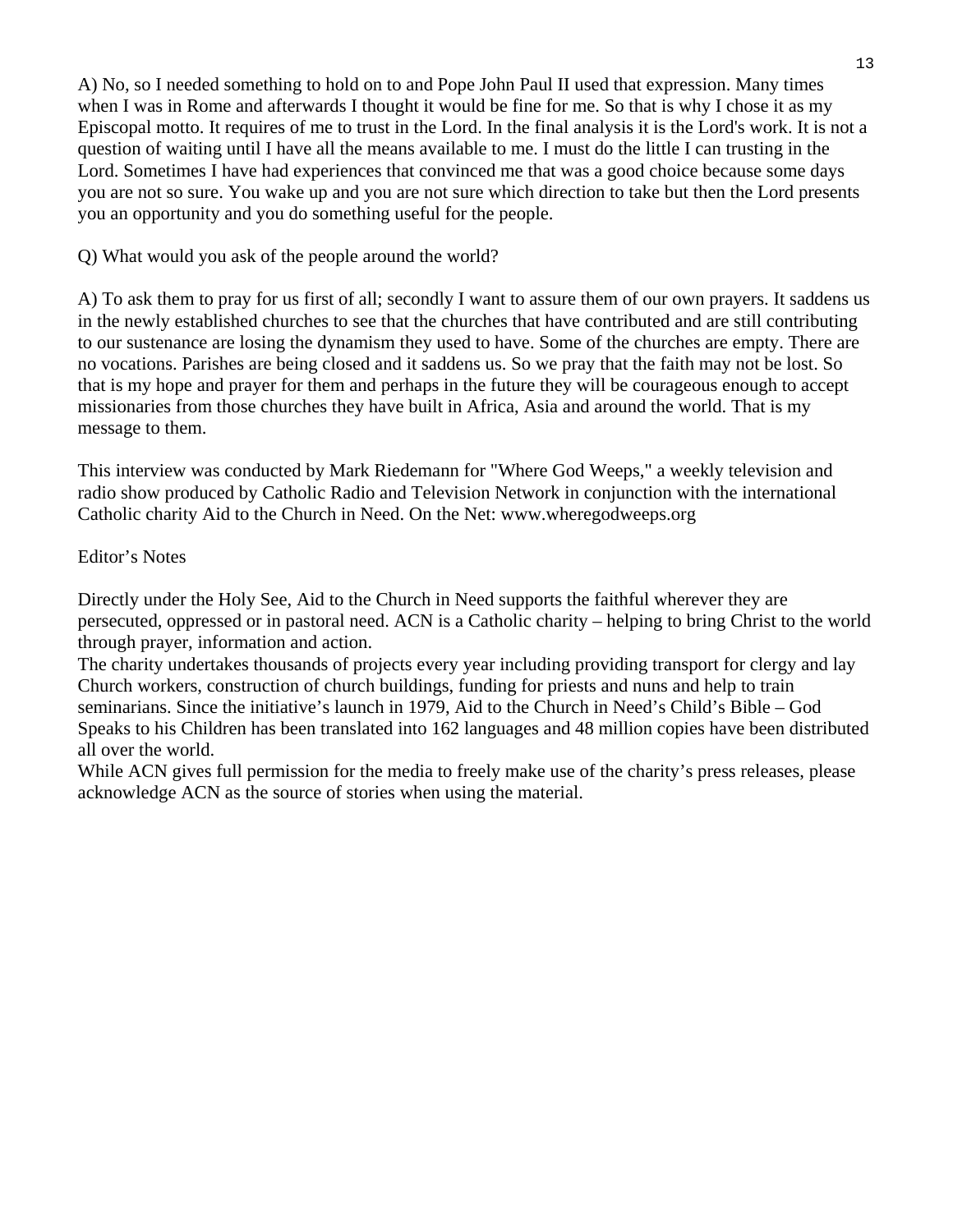A) No, so I needed something to hold on to and Pope John Paul II used that expression. Many times when I was in Rome and afterwards I thought it would be fine for me. So that is why I chose it as my Episcopal motto. It requires of me to trust in the Lord. In the final analysis it is the Lord's work. It is not a question of waiting until I have all the means available to me. I must do the little I can trusting in the Lord. Sometimes I have had experiences that convinced me that was a good choice because some days you are not so sure. You wake up and you are not sure which direction to take but then the Lord presents you an opportunity and you do something useful for the people.

Q) What would you ask of the people around the world?

A) To ask them to pray for us first of all; secondly I want to assure them of our own prayers. It saddens us in the newly established churches to see that the churches that have contributed and are still contributing to our sustenance are losing the dynamism they used to have. Some of the churches are empty. There are no vocations. Parishes are being closed and it saddens us. So we pray that the faith may not be lost. So that is my hope and prayer for them and perhaps in the future they will be courageous enough to accept missionaries from those churches they have built in Africa, Asia and around the world. That is my message to them.

This interview was conducted by Mark Riedemann for "Where God Weeps," a weekly television and radio show produced by Catholic Radio and Television Network in conjunction with the international Catholic charity Aid to the Church in Need. On the Net: www.wheregodweeps.org

### Editor's Notes

Directly under the Holy See, Aid to the Church in Need supports the faithful wherever they are persecuted, oppressed or in pastoral need. ACN is a Catholic charity – helping to bring Christ to the world through prayer, information and action.

The charity undertakes thousands of projects every year including providing transport for clergy and lay Church workers, construction of church buildings, funding for priests and nuns and help to train seminarians. Since the initiative's launch in 1979, Aid to the Church in Need's Child's Bible – God Speaks to his Children has been translated into 162 languages and 48 million copies have been distributed all over the world.

While ACN gives full permission for the media to freely make use of the charity's press releases, please acknowledge ACN as the source of stories when using the material.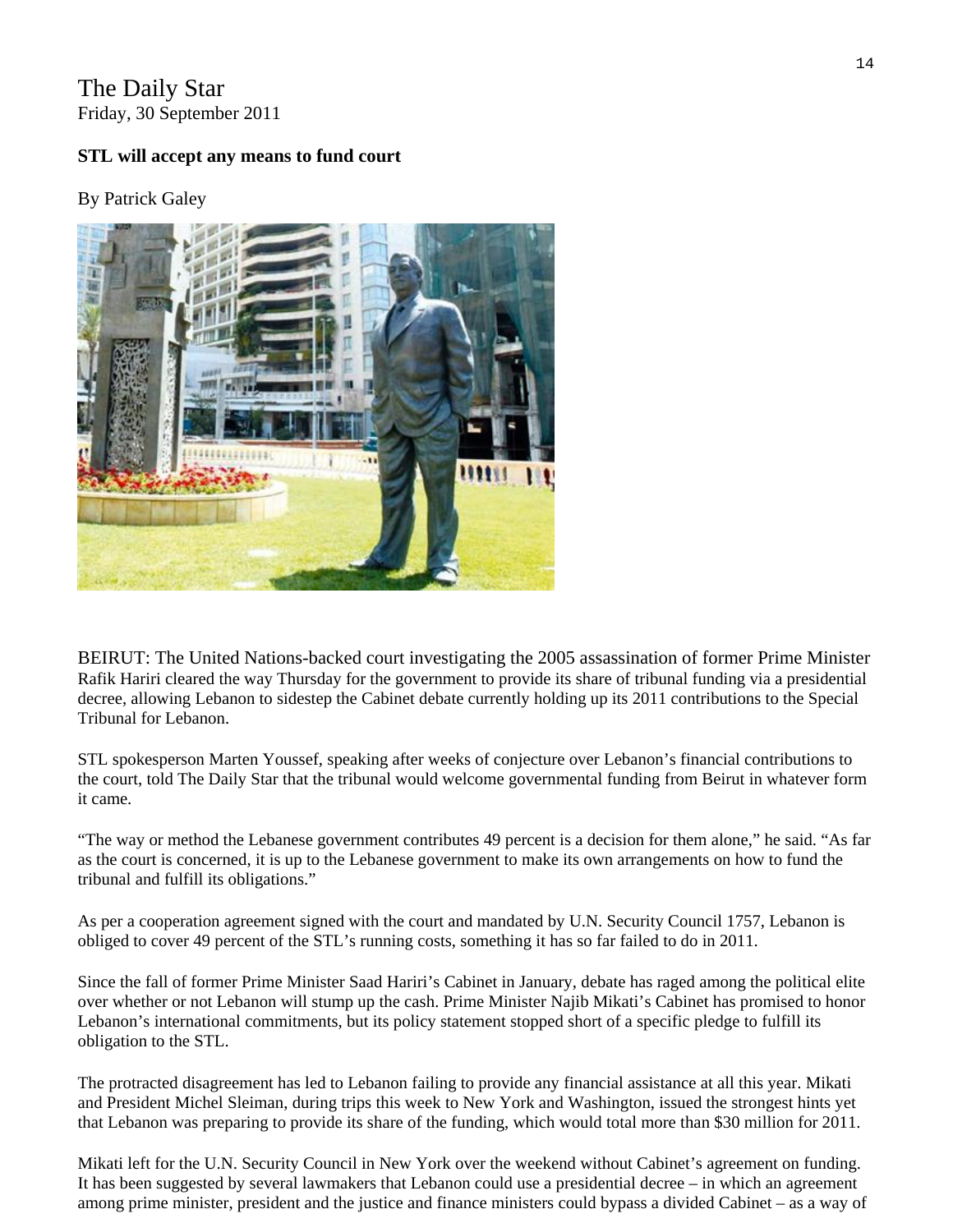The Daily Star Friday, 30 September 2011

#### **STL will accept any means to fund court**

#### By [Patrick Galey](http://www.dailystar.com.lb/Patrick-Galey.ashx)



BEIRUT: The United Nations-backed court investigating the 2005 assassination of former Prime Minister Rafik Hariri cleared the way Thursday for the government to provide its share of tribunal funding via a presidential decree, allowing Lebanon to sidestep the Cabinet debate currently holding up its 2011 contributions to the Special Tribunal for Lebanon.

STL spokesperson Marten Youssef, speaking after weeks of conjecture over Lebanon's financial contributions to the court, told The Daily Star that the tribunal would welcome governmental funding from Beirut in whatever form it came.

"The way or method the Lebanese government contributes 49 percent is a decision for them alone," he said. "As far as the court is concerned, it is up to the Lebanese government to make its own arrangements on how to fund the tribunal and fulfill its obligations."

As per a cooperation agreement signed with the court and mandated by U.N. Security Council 1757, Lebanon is obliged to cover 49 percent of the STL's running costs, something it has so far failed to do in 2011.

Since the fall of former Prime Minister Saad Hariri's Cabinet in January, debate has raged among the political elite over whether or not Lebanon will stump up the cash. Prime Minister Najib Mikati's Cabinet has promised to honor Lebanon's international commitments, but its policy statement stopped short of a specific pledge to fulfill its obligation to the STL.

The protracted disagreement has led to Lebanon failing to provide any financial assistance at all this year. Mikati and President Michel Sleiman, during trips this week to New York and Washington, issued the strongest hints yet that Lebanon was preparing to provide its share of the funding, which would total more than \$30 million for 2011.

among prime minister, president and the justice and finance ministers could bypass a divided Cabinet – as a way of Mikati left for the U.N. Security Council in New York over the weekend without Cabinet's agreement on funding. It has been suggested by several lawmakers that Lebanon could use a presidential decree – in which an agreement